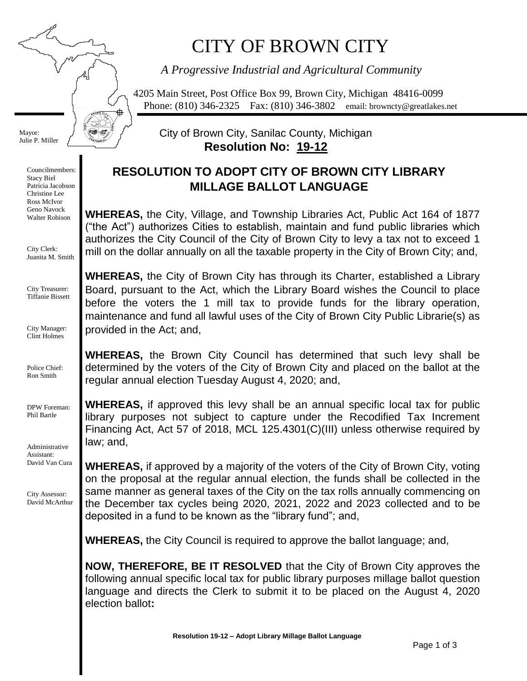# CITY OF BROWN CITY

*A Progressive Industrial and Agricultural Community*

4205 Main Street, Post Office Box 99, Brown City, Michigan 48416-0099 Phone: (810) 346-2325 Fax: (810) 346-3802 email: browncty@greatlakes.net

Mayor: Julie P. Miller ₱

Councilmembers: Stacy Biel Patricia Jacobson Christine Lee Ross McIvor Geno Navock Walter Robison

City Clerk: Juanita M. Smith

City Treasurer: Tiffanie Bissett

City Manager: Clint Holmes

Police Chief: Ron Smith

DPW Foreman: Phil Bartle

Administrative Assistant: David Van Cura

City Assessor: David McArthur City of Brown City, Sanilac County, Michigan **Resolution No: 19-12**

## **RESOLUTION TO ADOPT CITY OF BROWN CITY LIBRARY MILLAGE BALLOT LANGUAGE**

**WHEREAS,** the City, Village, and Township Libraries Act, Public Act 164 of 1877 ("the Act") authorizes Cities to establish, maintain and fund public libraries which authorizes the City Council of the City of Brown City to levy a tax not to exceed 1 mill on the dollar annually on all the taxable property in the City of Brown City; and,

**WHEREAS,** the City of Brown City has through its Charter, established a Library Board, pursuant to the Act, which the Library Board wishes the Council to place before the voters the 1 mill tax to provide funds for the library operation, maintenance and fund all lawful uses of the City of Brown City Public Librarie(s) as provided in the Act; and,

**WHEREAS,** the Brown City Council has determined that such levy shall be determined by the voters of the City of Brown City and placed on the ballot at the regular annual election Tuesday August 4, 2020; and,

**WHEREAS,** if approved this levy shall be an annual specific local tax for public library purposes not subject to capture under the Recodified Tax Increment Financing Act, Act 57 of 2018, MCL 125.4301(C)(III) unless otherwise required by law; and,

**WHEREAS,** if approved by a majority of the voters of the City of Brown City, voting on the proposal at the regular annual election, the funds shall be collected in the same manner as general taxes of the City on the tax rolls annually commencing on the December tax cycles being 2020, 2021, 2022 and 2023 collected and to be deposited in a fund to be known as the "library fund"; and,

**WHEREAS,** the City Council is required to approve the ballot language; and,

**NOW, THEREFORE, BE IT RESOLVED** that the City of Brown City approves the following annual specific local tax for public library purposes millage ballot question language and directs the Clerk to submit it to be placed on the August 4, 2020 election ballot**:**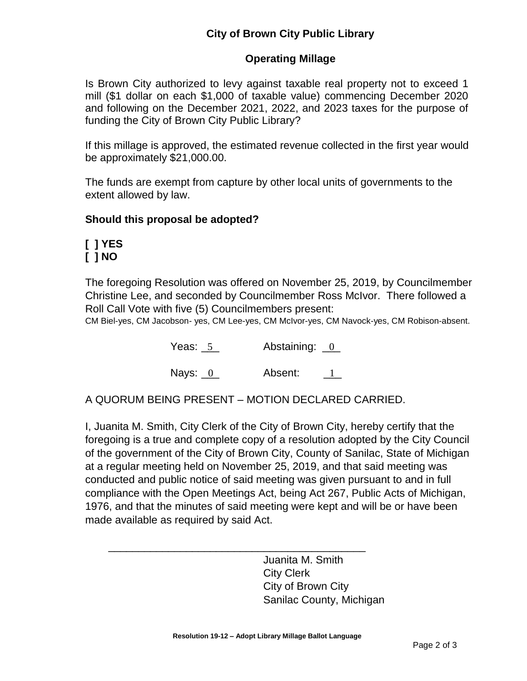### **Operating Millage**

Is Brown City authorized to levy against taxable real property not to exceed 1 mill (\$1 dollar on each \$1,000 of taxable value) commencing December 2020 and following on the December 2021, 2022, and 2023 taxes for the purpose of funding the City of Brown City Public Library?

If this millage is approved, the estimated revenue collected in the first year would be approximately \$21,000.00.

The funds are exempt from capture by other local units of governments to the extent allowed by law.

#### **Should this proposal be adopted?**

## **[ ] YES [ ] NO**

The foregoing Resolution was offered on November 25, 2019, by Councilmember Christine Lee, and seconded by Councilmember Ross McIvor. There followed a Roll Call Vote with five (5) Councilmembers present:

CM Biel-yes, CM Jacobson- yes, CM Lee-yes, CM McIvor-yes, CM Navock-yes, CM Robison-absent.

Yeas: 5 Abstaining: 0 Yeas:  $-5$ 

Nays: 0 Absent: 1 1

A QUORUM BEING PRESENT – MOTION DECLARED CARRIED.

\_\_\_\_\_\_\_\_\_\_\_\_\_\_\_\_\_\_\_\_\_\_\_\_\_\_\_\_\_\_\_\_\_\_\_\_\_\_\_\_\_\_\_

I, Juanita M. Smith, City Clerk of the City of Brown City, hereby certify that the foregoing is a true and complete copy of a resolution adopted by the City Council of the government of the City of Brown City, County of Sanilac, State of Michigan at a regular meeting held on November 25, 2019, and that said meeting was conducted and public notice of said meeting was given pursuant to and in full compliance with the Open Meetings Act, being Act 267, Public Acts of Michigan, 1976, and that the minutes of said meeting were kept and will be or have been made available as required by said Act.

> Juanita M. Smith City Clerk City of Brown City Sanilac County, Michigan